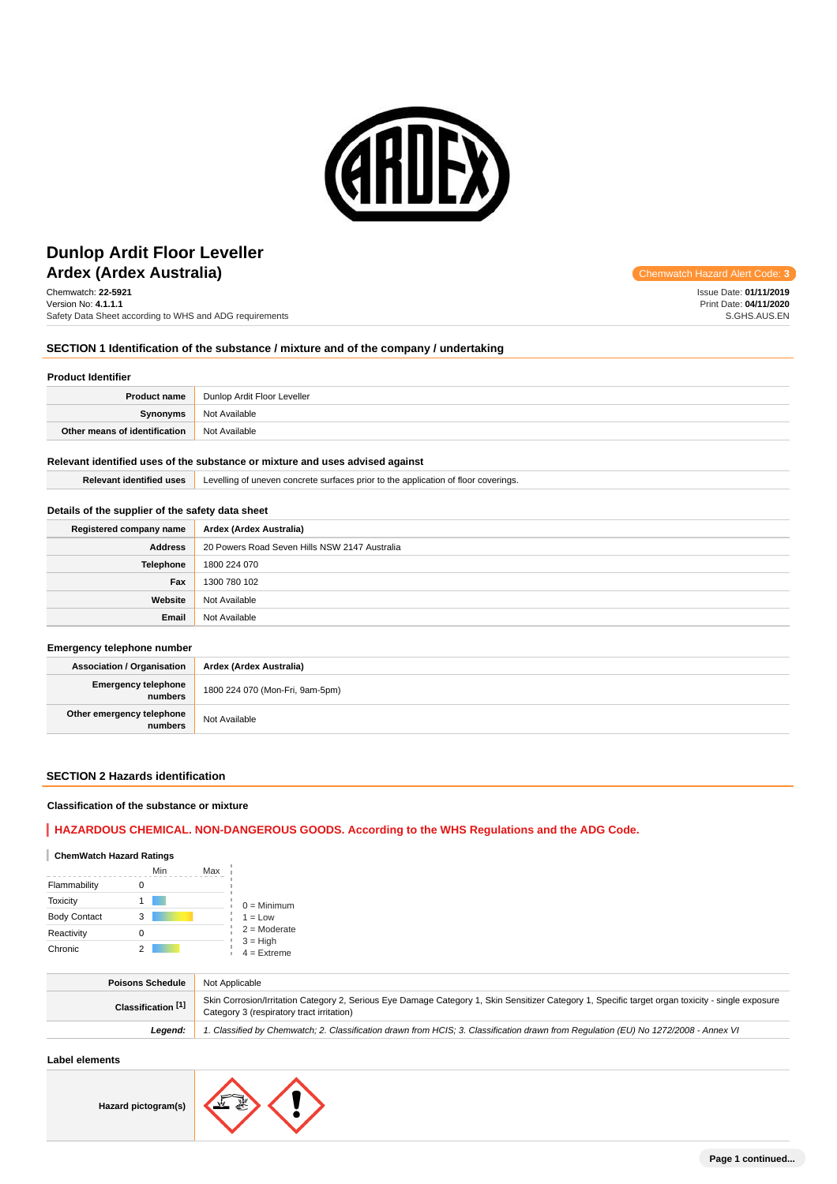

# **Ardex (Ardex Australia) Chemwatch Hazard Alert** Communication **Construction** Chemwatch Hazard Alert **Dunlop Ardit Floor Leveller**

Chemwatch: **22-5921** Version No: **4.1.1.1** Safety Data Sheet according to WHS and ADG requirements

# **SECTION 1 Identification of the substance / mixture and of the company / undertaking**

# **Product Identifier**

| <b>Product name</b>           | Dunlop Ardit Floor Leveller |
|-------------------------------|-----------------------------|
| Synonyms                      | Not Available               |
| Other means of identification | Not Available               |

#### **Relevant identified uses of the substance or mixture and uses advised against**

**Relevant identified uses** Levelling of uneven concrete surfaces prior to the application of floor coverings.

#### **Details of the supplier of the safety data sheet**

| Registered company name | Ardex (Ardex Australia)                       |
|-------------------------|-----------------------------------------------|
| <b>Address</b>          | 20 Powers Road Seven Hills NSW 2147 Australia |
| <b>Telephone</b>        | 1800 224 070                                  |
| Fax                     | 1300 780 102                                  |
| Website                 | Not Available                                 |
| Email                   | Not Available                                 |

#### **Emergency telephone number**

| <b>Association / Organisation</b>     | Ardex (Ardex Australia)         |
|---------------------------------------|---------------------------------|
| <b>Emergency telephone</b><br>numbers | 1800 224 070 (Mon-Fri, 9am-5pm) |
| Other emergency telephone<br>numbers  | Not Available                   |

### **SECTION 2 Hazards identification**

#### **Classification of the substance or mixture**

# **HAZARDOUS CHEMICAL. NON-DANGEROUS GOODS. According to the WHS Regulations and the ADG Code.**

# **ChemWatch Hazard Ratings**

|                     | Min | Max |                             |
|---------------------|-----|-----|-----------------------------|
| Flammability        |     |     |                             |
| <b>Toxicity</b>     |     |     | $0 =$ Minimum               |
| <b>Body Contact</b> | 3   |     | $1 = Low$                   |
| Reactivity          |     |     | $2 =$ Moderate              |
| Chronic             |     |     | $3 = High$<br>$4 =$ Extreme |

| <b>Poisons Schedule</b> | Not Applicable                                                                                                                                                                                 |
|-------------------------|------------------------------------------------------------------------------------------------------------------------------------------------------------------------------------------------|
| Classification [1]      | Skin Corrosion/Irritation Category 2, Serious Eye Damage Category 1, Skin Sensitizer Category 1, Specific target organ toxicity - single exposure<br>Category 3 (respiratory tract irritation) |
| Leaend:                 | 1. Classified by Chemwatch; 2. Classification drawn from HCIS; 3. Classification drawn from Requlation (EU) No 1272/2008 - Annex VI                                                            |

#### **Label elements**

**Hazard pictogram(s)**



Issue Date: **01/11/2019** Print Date: **04/11/2020** S.GHS.AUS.EN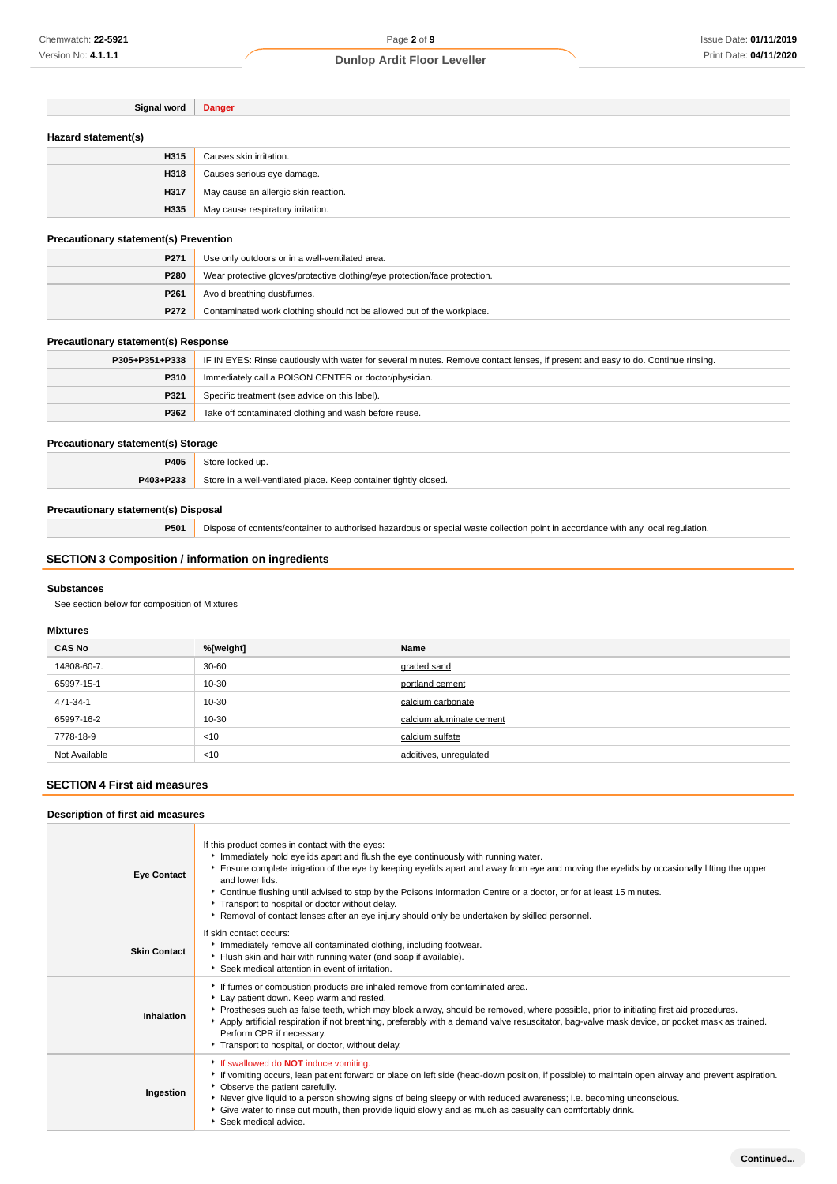| Signal word         | <b>Danger</b>                        |
|---------------------|--------------------------------------|
| Hazard statement(s) |                                      |
| H315                | Causes skin irritation.              |
| H318                | Causes serious eye damage.           |
| H317                | May cause an allergic skin reaction. |
| H335                | May cause respiratory irritation.    |

# **Precautionary statement(s) Prevention**

| P <sub>271</sub> | Use only outdoors or in a well-ventilated area.                            |
|------------------|----------------------------------------------------------------------------|
| <b>P280</b>      | Wear protective gloves/protective clothing/eye protection/face protection. |
| P <sub>261</sub> | Avoid breathing dust/fumes.                                                |
| P272             | Contaminated work clothing should not be allowed out of the workplace.     |

# **Precautionary statement(s) Response**

| P305+P351+P338 | IF IN EYES: Rinse cautiously with water for several minutes. Remove contact lenses, if present and easy to do. Continue rinsing. |
|----------------|----------------------------------------------------------------------------------------------------------------------------------|
| P310           | Immediately call a POISON CENTER or doctor/physician.                                                                            |
| P321           | Specific treatment (see advice on this label).                                                                                   |
| P362           | Take off contaminated clothing and wash before reuse.                                                                            |

# **Precautionary statement(s) Storage**

| P405      | Store locked up.                                                 |
|-----------|------------------------------------------------------------------|
| P403+P233 | Store in a well-ventilated place. Keep container tightly closed. |

# **Precautionary statement(s) Disposal**

**P501** Dispose of contents/container to authorised hazardous or special waste collection point in accordance with any local regulation.

# **SECTION 3 Composition / information on ingredients**

# **Substances**

See section below for composition of Mixtures

# **Mixtures**

| <b>CAS No</b> | %[weight] | Name                     |
|---------------|-----------|--------------------------|
| 14808-60-7.   | $30 - 60$ | graded sand              |
| 65997-15-1    | 10-30     | portland cement          |
| 471-34-1      | 10-30     | calcium carbonate        |
| 65997-16-2    | 10-30     | calcium aluminate cement |
| 7778-18-9     | < 10      | calcium sulfate          |
| Not Available | < 10      | additives, unregulated   |

# **SECTION 4 First aid measures**

# **Description of first aid measures**

| <b>Eye Contact</b>  | If this product comes in contact with the eyes:<br>Immediately hold eyelids apart and flush the eye continuously with running water.<br>Ensure complete irrigation of the eye by keeping eyelids apart and away from eye and moving the eyelids by occasionally lifting the upper<br>and lower lids.<br>▶ Continue flushing until advised to stop by the Poisons Information Centre or a doctor, or for at least 15 minutes.<br>Transport to hospital or doctor without delay.<br>▶ Removal of contact lenses after an eye injury should only be undertaken by skilled personnel. |
|---------------------|-----------------------------------------------------------------------------------------------------------------------------------------------------------------------------------------------------------------------------------------------------------------------------------------------------------------------------------------------------------------------------------------------------------------------------------------------------------------------------------------------------------------------------------------------------------------------------------|
| <b>Skin Contact</b> | If skin contact occurs:<br>Immediately remove all contaminated clothing, including footwear.<br>Flush skin and hair with running water (and soap if available).<br>Seek medical attention in event of irritation.                                                                                                                                                                                                                                                                                                                                                                 |
| Inhalation          | If fumes or combustion products are inhaled remove from contaminated area.<br>Lay patient down. Keep warm and rested.<br>▶ Prostheses such as false teeth, which may block airway, should be removed, where possible, prior to initiating first aid procedures.<br>Apply artificial respiration if not breathing, preferably with a demand valve resuscitator, bag-valve mask device, or pocket mask as trained.<br>Perform CPR if necessary.<br>Transport to hospital, or doctor, without delay.                                                                                 |
| Ingestion           | If swallowed do <b>NOT</b> induce vomiting.<br>If vomiting occurs, lean patient forward or place on left side (head-down position, if possible) to maintain open airway and prevent aspiration.<br>• Observe the patient carefully.<br>▶ Never give liquid to a person showing signs of being sleepy or with reduced awareness; i.e. becoming unconscious.<br>• Give water to rinse out mouth, then provide liquid slowly and as much as casualty can comfortably drink.<br>Seek medical advice.                                                                                  |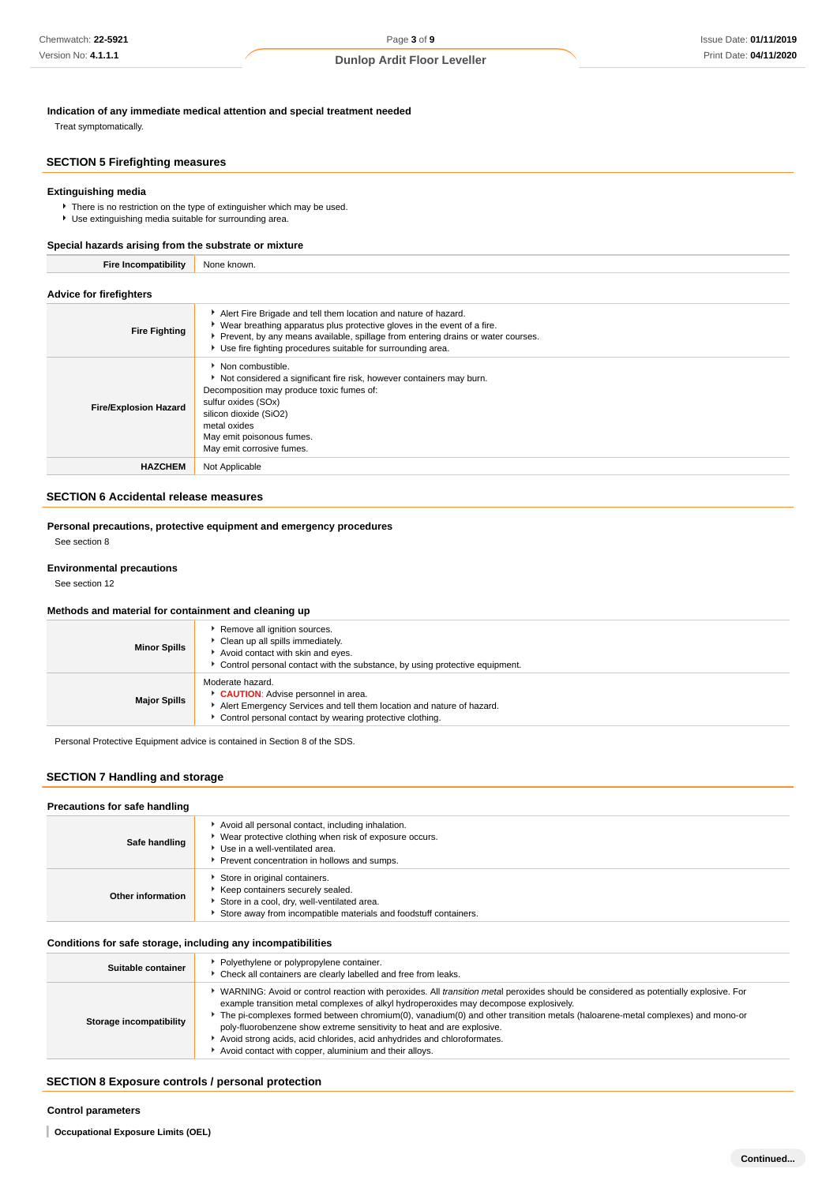**Indication of any immediate medical attention and special treatment needed**

Treat symptomatically.

# **SECTION 5 Firefighting measures**

# **Extinguishing media**

There is no restriction on the type of extinguisher which may be used. Use extinguishing media suitable for surrounding area.

#### **Special hazards arising from the substrate or mixture**

**Fire Incompatibility** None known.

| <b>Advice for firefighters</b> |                                                                                                                                                                                                                                                                                                   |
|--------------------------------|---------------------------------------------------------------------------------------------------------------------------------------------------------------------------------------------------------------------------------------------------------------------------------------------------|
| <b>Fire Fighting</b>           | Alert Fire Brigade and tell them location and nature of hazard.<br>• Wear breathing apparatus plus protective gloves in the event of a fire.<br>▶ Prevent, by any means available, spillage from entering drains or water courses.<br>Use fire fighting procedures suitable for surrounding area. |
| <b>Fire/Explosion Hazard</b>   | Non combustible.<br>Not considered a significant fire risk, however containers may burn.<br>Decomposition may produce toxic fumes of:<br>sulfur oxides (SOx)<br>silicon dioxide (SiO2)<br>metal oxides<br>May emit poisonous fumes.<br>May emit corrosive fumes.                                  |
| <b>HAZCHEM</b>                 | Not Applicable                                                                                                                                                                                                                                                                                    |

#### **SECTION 6 Accidental release measures**

# **Personal precautions, protective equipment and emergency procedures**

See section 8

### **Environmental precautions**

See section 12

#### **Methods and material for containment and cleaning up**

| <b>Minor Spills</b> | Remove all ignition sources.<br>Clean up all spills immediately.<br>Avoid contact with skin and eyes.<br>► Control personal contact with the substance, by using protective equipment.      |
|---------------------|---------------------------------------------------------------------------------------------------------------------------------------------------------------------------------------------|
| <b>Major Spills</b> | Moderate hazard.<br>CAUTION: Advise personnel in area.<br>Alert Emergency Services and tell them location and nature of hazard.<br>Control personal contact by wearing protective clothing. |

Personal Protective Equipment advice is contained in Section 8 of the SDS.

# **SECTION 7 Handling and storage**

## **Precautions for safe handling**

| Safe handling            | Avoid all personal contact, including inhalation.<br>Wear protective clothing when risk of exposure occurs.<br>Use in a well-ventilated area.<br>Prevent concentration in hollows and sumps. |
|--------------------------|----------------------------------------------------------------------------------------------------------------------------------------------------------------------------------------------|
| <b>Other information</b> | Store in original containers.<br>Keep containers securely sealed.<br>Store in a cool, dry, well-ventilated area.<br>Store away from incompatible materials and foodstuff containers.         |

#### **Conditions for safe storage, including any incompatibilities**

| Suitable container      | Polyethylene or polypropylene container.<br>Check all containers are clearly labelled and free from leaks.                                                                                                                                                                                                                                                                                                                                                                                                                                                                          |
|-------------------------|-------------------------------------------------------------------------------------------------------------------------------------------------------------------------------------------------------------------------------------------------------------------------------------------------------------------------------------------------------------------------------------------------------------------------------------------------------------------------------------------------------------------------------------------------------------------------------------|
| Storage incompatibility | WARNING: Avoid or control reaction with peroxides. All <i>transition metal</i> peroxides should be considered as potentially explosive. For<br>example transition metal complexes of alkyl hydroperoxides may decompose explosively.<br>The pi-complexes formed between chromium(0), vanadium(0) and other transition metals (haloarene-metal complexes) and mono-or<br>poly-fluorobenzene show extreme sensitivity to heat and are explosive.<br>Avoid strong acids, acid chlorides, acid anhydrides and chloroformates.<br>Avoid contact with copper, aluminium and their alloys. |

# **SECTION 8 Exposure controls / personal protection**

#### **Control parameters**

**Occupational Exposure Limits (OEL)**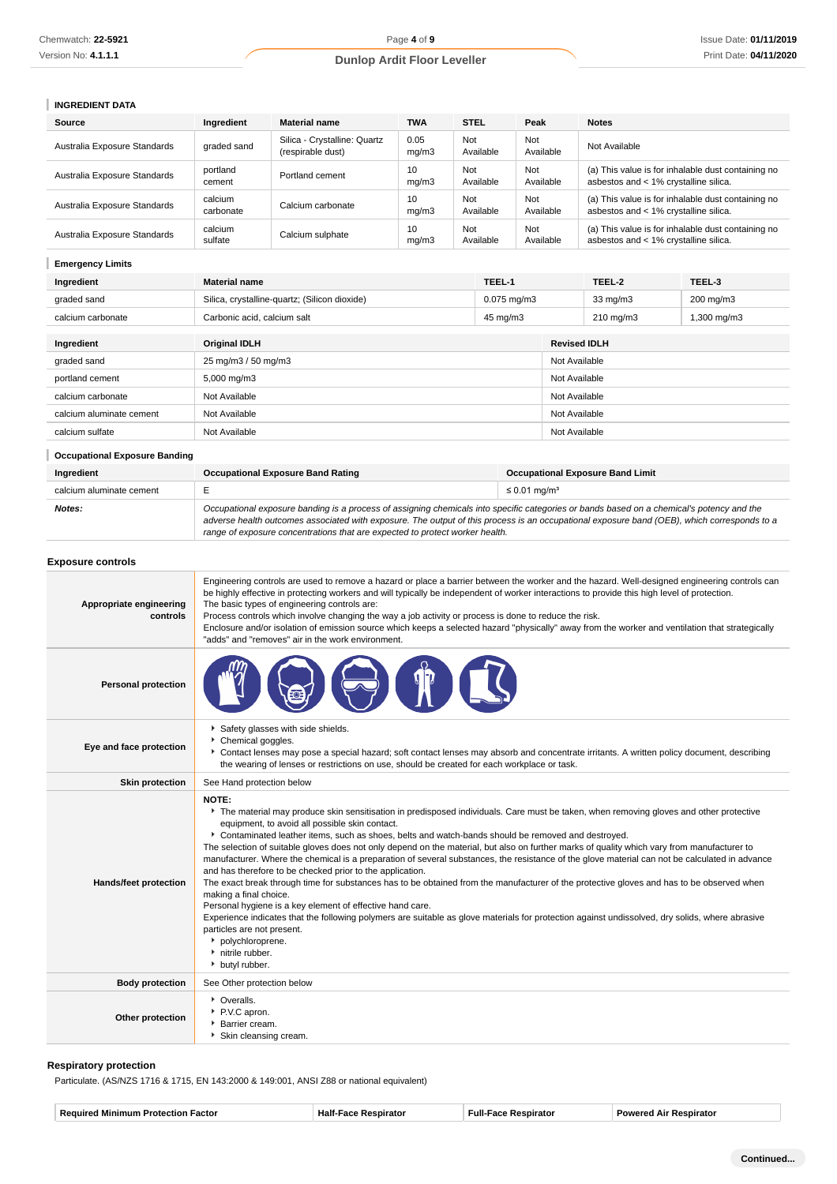# **INGREDIENT DATA**

| Source                       | Ingredient           | <b>Material name</b>                              | <b>TWA</b>    | <b>STEL</b>      |                  | Peak             | <b>Notes</b>                          |                                                    |
|------------------------------|----------------------|---------------------------------------------------|---------------|------------------|------------------|------------------|---------------------------------------|----------------------------------------------------|
| Australia Exposure Standards | graded sand          | Silica - Crystalline: Quartz<br>(respirable dust) | 0.05<br>mg/m3 | Not<br>Available |                  | Not<br>Available | Not Available                         |                                                    |
| Australia Exposure Standards | portland<br>cement   | Portland cement                                   | 10<br>mg/m3   | Not<br>Available |                  | Not<br>Available | asbestos and < 1% crystalline silica. | (a) This value is for inhalable dust containing no |
| Australia Exposure Standards | calcium<br>carbonate | Calcium carbonate                                 | 10<br>mg/m3   | Not<br>Available |                  | Not<br>Available | asbestos and < 1% crystalline silica. | (a) This value is for inhalable dust containing no |
| Australia Exposure Standards | calcium<br>sulfate   | Calcium sulphate                                  | 10<br>mg/m3   | Not<br>Available |                  | Not<br>Available | asbestos and < 1% crystalline silica. | (a) This value is for inhalable dust containing no |
| <b>Emergency Limits</b>      |                      |                                                   |               |                  |                  |                  |                                       |                                                    |
| Ingredient                   | <b>Material name</b> |                                                   |               |                  | TEEL-1           |                  | TEEL-2                                | TEEL-3                                             |
| graded sand                  |                      | Silica, crystalline-quartz; (Silicon dioxide)     |               |                  | $0.075$ mg/m $3$ |                  | 33 mg/m3                              | 200 mg/m3                                          |
| calcium carbonate            |                      | Carbonic acid, calcium salt                       |               |                  | 45 mg/m3         |                  | $210 \text{ mg/m}$                    | 1,300 mg/m3                                        |
| Ingredient                   | <b>Original IDLH</b> |                                                   |               |                  |                  |                  | <b>Revised IDLH</b>                   |                                                    |

| mgreaient                | Unginal IDLA        | Revised IDLA  |
|--------------------------|---------------------|---------------|
| graded sand              | 25 mg/m3 / 50 mg/m3 | Not Available |
| portland cement          | 5,000 mg/m3         | Not Available |
| calcium carbonate        | Not Available       | Not Available |
| calcium aluminate cement | Not Available       | Not Available |
| calcium sulfate          | Not Available       | Not Available |
|                          |                     |               |

#### **Occupational Exposure Banding**

| Ingredient               | <b>Occupational Exposure Band Rating</b>                                                                                                                                                                                                                                                                                                                                 | <b>Occupational Exposure Band Limit</b> |
|--------------------------|--------------------------------------------------------------------------------------------------------------------------------------------------------------------------------------------------------------------------------------------------------------------------------------------------------------------------------------------------------------------------|-----------------------------------------|
| calcium aluminate cement |                                                                                                                                                                                                                                                                                                                                                                          | $\leq$ 0.01 mg/m <sup>3</sup>           |
| Notes:                   | Occupational exposure banding is a process of assigning chemicals into specific categories or bands based on a chemical's potency and the<br>adverse health outcomes associated with exposure. The output of this process is an occupational exposure band (OEB), which corresponds to a<br>range of exposure concentrations that are expected to protect worker health. |                                         |

#### **Exposure controls Appropriate engineering controls** Engineering controls are used to remove a hazard or place a barrier between the worker and the hazard. Well-designed engineering controls can be highly effective in protecting workers and will typically be independent of worker interactions to provide this high level of protection. The basic types of engineering controls are: Process controls which involve changing the way a job activity or process is done to reduce the risk. Enclosure and/or isolation of emission source which keeps a selected hazard "physically" away from the worker and ventilation that strategically "adds" and "removes" air in the work environment. **Personal protection Eye and face protection** Safety glasses with side shields. Chemical goggles. Contact lenses may pose a special hazard; soft contact lenses may absorb and concentrate irritants. A written policy document, describing the wearing of lenses or restrictions on use, should be created for each workplace or task. **Skin protection** See Hand protection below **Hands/feet protection NOTE:** The material may produce skin sensitisation in predisposed individuals. Care must be taken, when removing gloves and other protective equipment, to avoid all possible skin contact. Contaminated leather items, such as shoes, belts and watch-bands should be removed and destroyed. The selection of suitable gloves does not only depend on the material, but also on further marks of quality which vary from manufacturer to manufacturer. Where the chemical is a preparation of several substances, the resistance of the glove material can not be calculated in advance and has therefore to be checked prior to the application. The exact break through time for substances has to be obtained from the manufacturer of the protective gloves and has to be observed when making a final choice. Personal hygiene is a key element of effective hand care. Experience indicates that the following polymers are suitable as glove materials for protection against undissolved, dry solids, where abrasive particles are not present. polychloroprene. nitrile rubber. **butyl rubber Body protection** See Other protection below **Other protection** Overalls. P.V.C apron. **Barrier cream** Skin cleansing cream.

#### **Respiratory protection**

Particulate. (AS/NZS 1716 & 1715, EN 143:2000 & 149:001, ANSI Z88 or national equivalent)

| rato<br><b>Rec</b><br>ы<br>ator<br>нап<br>тюн<br>,,,,,,<br>- 1111 |
|-------------------------------------------------------------------|
|-------------------------------------------------------------------|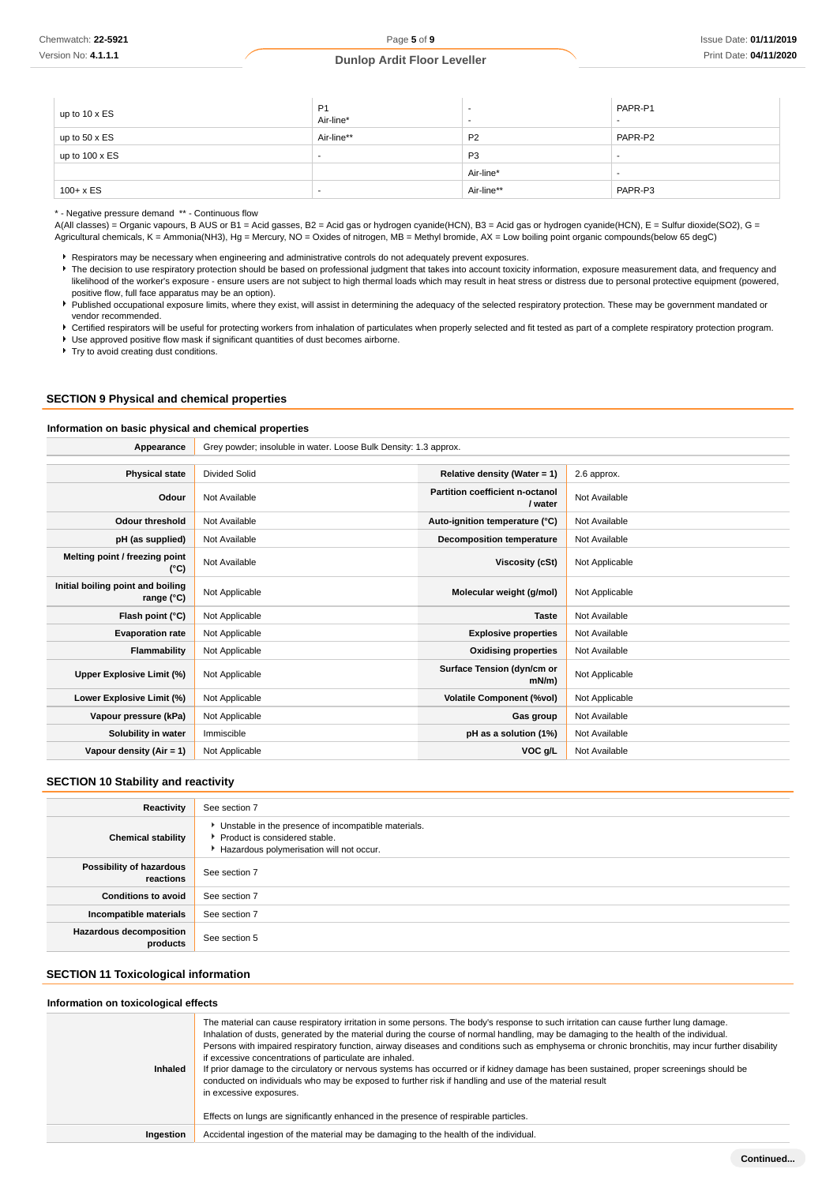| up to $10 \times ES$  | P <sub>1</sub><br>Air-line* |                | PAPR-P1<br>$\overline{\phantom{a}}$ |
|-----------------------|-----------------------------|----------------|-------------------------------------|
| up to $50 \times ES$  | Air-line**                  | P <sub>2</sub> | PAPR-P2                             |
| up to $100 \times ES$ |                             | P <sub>3</sub> |                                     |
|                       |                             | Air-line*      |                                     |
| $100 + x ES$          | . .                         | Air-line**     | PAPR-P3                             |

\* - Negative pressure demand \*\* - Continuous flow

A(All classes) = Organic vapours, B AUS or B1 = Acid gasses, B2 = Acid gas or hydrogen cyanide(HCN), B3 = Acid gas or hydrogen cyanide(HCN), E = Sulfur dioxide(SO2), G = Agricultural chemicals, K = Ammonia(NH3), Hg = Mercury, NO = Oxides of nitrogen, MB = Methyl bromide, AX = Low boiling point organic compounds(below 65 degC)

Respirators may be necessary when engineering and administrative controls do not adequately prevent exposures.

The decision to use respiratory protection should be based on professional judgment that takes into account toxicity information, exposure measurement data, and frequency and likelihood of the worker's exposure - ensure users are not subject to high thermal loads which may result in heat stress or distress due to personal protective equipment (powered, positive flow, full face apparatus may be an option).

Published occupational exposure limits, where they exist, will assist in determining the adequacy of the selected respiratory protection. These may be government mandated or vendor recommended.

Certified respirators will be useful for protecting workers from inhalation of particulates when properly selected and fit tested as part of a complete respiratory protection program.

Use approved positive flow mask if significant quantities of dust becomes airborne.

**Try to avoid creating dust conditions.** 

### **SECTION 9 Physical and chemical properties**

#### **Information on basic physical and chemical properties**

| Appearance                                      | Grey powder; insoluble in water. Loose Bulk Density: 1.3 approx. |                                            |                |
|-------------------------------------------------|------------------------------------------------------------------|--------------------------------------------|----------------|
|                                                 |                                                                  |                                            |                |
| <b>Physical state</b>                           | <b>Divided Solid</b>                                             | Relative density (Water = $1$ )            | 2.6 approx.    |
| Odour                                           | Not Available                                                    | Partition coefficient n-octanol<br>/ water | Not Available  |
| <b>Odour threshold</b>                          | Not Available                                                    | Auto-ignition temperature (°C)             | Not Available  |
| pH (as supplied)                                | Not Available                                                    | Decomposition temperature                  | Not Available  |
| Melting point / freezing point<br>(°C)          | Not Available                                                    | Viscosity (cSt)                            | Not Applicable |
| Initial boiling point and boiling<br>range (°C) | Not Applicable                                                   | Molecular weight (g/mol)                   | Not Applicable |
| Flash point (°C)                                | Not Applicable                                                   | <b>Taste</b>                               | Not Available  |
| <b>Evaporation rate</b>                         | Not Applicable                                                   | <b>Explosive properties</b>                | Not Available  |
| Flammability                                    | Not Applicable                                                   | <b>Oxidising properties</b>                | Not Available  |
| Upper Explosive Limit (%)                       | Not Applicable                                                   | Surface Tension (dyn/cm or<br>$mN/m$ )     | Not Applicable |
| Lower Explosive Limit (%)                       | Not Applicable                                                   | <b>Volatile Component (%vol)</b>           | Not Applicable |
| Vapour pressure (kPa)                           | Not Applicable                                                   | Gas group                                  | Not Available  |
| Solubility in water                             | Immiscible                                                       | pH as a solution (1%)                      | Not Available  |
| Vapour density $(Air = 1)$                      | Not Applicable                                                   | VOC g/L                                    | Not Available  |

#### **SECTION 10 Stability and reactivity**

| Reactivity                                 | See section 7                                                                                                                        |
|--------------------------------------------|--------------------------------------------------------------------------------------------------------------------------------------|
| <b>Chemical stability</b>                  | • Unstable in the presence of incompatible materials.<br>▶ Product is considered stable.<br>Hazardous polymerisation will not occur. |
| Possibility of hazardous<br>reactions      | See section 7                                                                                                                        |
| <b>Conditions to avoid</b>                 | See section 7                                                                                                                        |
| Incompatible materials                     | See section 7                                                                                                                        |
| <b>Hazardous decomposition</b><br>products | See section 5                                                                                                                        |

# **SECTION 11 Toxicological information**

#### **Information on toxicological effects**

| mondation on toxioological chooto |                                                                                                                                                                                                                                                                                                                                                                                                                                                                                                                                                                                                                                                                                                                                                                                                                                                                     |
|-----------------------------------|---------------------------------------------------------------------------------------------------------------------------------------------------------------------------------------------------------------------------------------------------------------------------------------------------------------------------------------------------------------------------------------------------------------------------------------------------------------------------------------------------------------------------------------------------------------------------------------------------------------------------------------------------------------------------------------------------------------------------------------------------------------------------------------------------------------------------------------------------------------------|
| <b>Inhaled</b>                    | The material can cause respiratory irritation in some persons. The body's response to such irritation can cause further lung damage.<br>Inhalation of dusts, generated by the material during the course of normal handling, may be damaging to the health of the individual.<br>Persons with impaired respiratory function, airway diseases and conditions such as emphysema or chronic bronchitis, may incur further disability<br>if excessive concentrations of particulate are inhaled.<br>If prior damage to the circulatory or nervous systems has occurred or if kidney damage has been sustained, proper screenings should be<br>conducted on individuals who may be exposed to further risk if handling and use of the material result<br>in excessive exposures.<br>Effects on lungs are significantly enhanced in the presence of respirable particles. |
| Ingestion                         | Accidental ingestion of the material may be damaging to the health of the individual.                                                                                                                                                                                                                                                                                                                                                                                                                                                                                                                                                                                                                                                                                                                                                                               |
|                                   |                                                                                                                                                                                                                                                                                                                                                                                                                                                                                                                                                                                                                                                                                                                                                                                                                                                                     |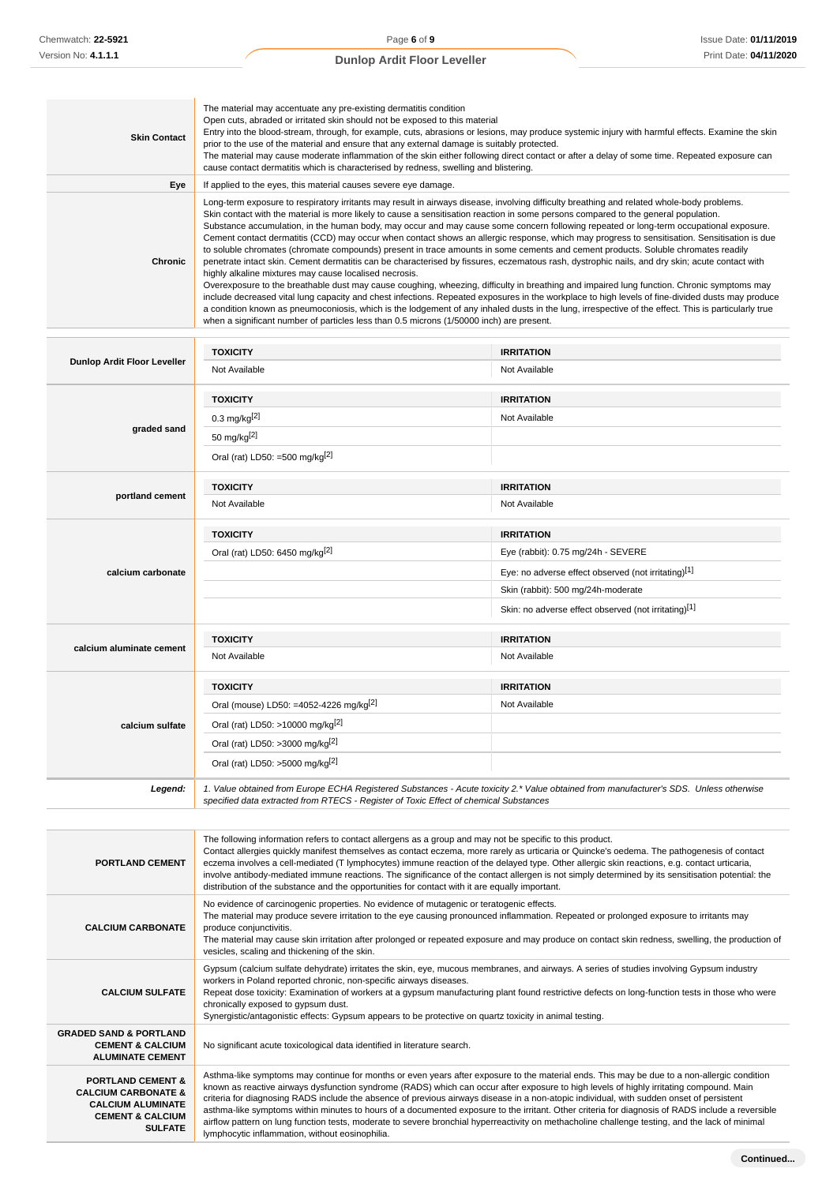| <b>Skin Contact</b> | The material may accentuate any pre-existing dermatitis condition<br>Open cuts, abraded or irritated skin should not be exposed to this material<br>Entry into the blood-stream, through, for example, cuts, abrasions or lesions, may produce systemic injury with harmful effects. Examine the skin<br>prior to the use of the material and ensure that any external damage is suitably protected.<br>The material may cause moderate inflammation of the skin either following direct contact or after a delay of some time. Repeated exposure can<br>cause contact dermatitis which is characterised by redness, swelling and blistering.                                                                                                                                                                                                                                                                                                                                                                                                                                                                                                                                                                                                                                                                                                                                                                                                                                     |
|---------------------|-----------------------------------------------------------------------------------------------------------------------------------------------------------------------------------------------------------------------------------------------------------------------------------------------------------------------------------------------------------------------------------------------------------------------------------------------------------------------------------------------------------------------------------------------------------------------------------------------------------------------------------------------------------------------------------------------------------------------------------------------------------------------------------------------------------------------------------------------------------------------------------------------------------------------------------------------------------------------------------------------------------------------------------------------------------------------------------------------------------------------------------------------------------------------------------------------------------------------------------------------------------------------------------------------------------------------------------------------------------------------------------------------------------------------------------------------------------------------------------|
| Eye                 | If applied to the eyes, this material causes severe eye damage.                                                                                                                                                                                                                                                                                                                                                                                                                                                                                                                                                                                                                                                                                                                                                                                                                                                                                                                                                                                                                                                                                                                                                                                                                                                                                                                                                                                                                   |
| <b>Chronic</b>      | Long-term exposure to respiratory irritants may result in airways disease, involving difficulty breathing and related whole-body problems.<br>Skin contact with the material is more likely to cause a sensitisation reaction in some persons compared to the general population.<br>Substance accumulation, in the human body, may occur and may cause some concern following repeated or long-term occupational exposure.<br>Cement contact dermatitis (CCD) may occur when contact shows an allergic response, which may progress to sensitisation. Sensitisation is due<br>to soluble chromates (chromate compounds) present in trace amounts in some cements and cement products. Soluble chromates readily<br>penetrate intact skin. Cement dermatitis can be characterised by fissures, eczematous rash, dystrophic nails, and dry skin; acute contact with<br>highly alkaline mixtures may cause localised necrosis.<br>Overexposure to the breathable dust may cause coughing, wheezing, difficulty in breathing and impaired lung function. Chronic symptoms may<br>include decreased vital lung capacity and chest infections. Repeated exposures in the workplace to high levels of fine-divided dusts may produce<br>a condition known as pneumoconiosis, which is the lodgement of any inhaled dusts in the lung, irrespective of the effect. This is particularly true<br>when a significant number of particles less than 0.5 microns (1/50000 inch) are present. |

| Dunlop Ardit Floor Leveller | <b>TOXICITY</b>                                                                       | <b>IRRITATION</b>                                                                                                                      |
|-----------------------------|---------------------------------------------------------------------------------------|----------------------------------------------------------------------------------------------------------------------------------------|
|                             | Not Available                                                                         | Not Available                                                                                                                          |
|                             | <b>TOXICITY</b>                                                                       | <b>IRRITATION</b>                                                                                                                      |
|                             | 0.3 mg/kg[2]                                                                          | Not Available                                                                                                                          |
| graded sand                 | 50 mg/kg[2]                                                                           |                                                                                                                                        |
|                             | Oral (rat) LD50: =500 mg/kg <sup>[2]</sup>                                            |                                                                                                                                        |
|                             | <b>TOXICITY</b>                                                                       | <b>IRRITATION</b>                                                                                                                      |
| portland cement             | Not Available                                                                         | Not Available                                                                                                                          |
|                             | <b>TOXICITY</b>                                                                       | <b>IRRITATION</b>                                                                                                                      |
|                             | Oral (rat) LD50: 6450 mg/kg[2]                                                        | Eye (rabbit): 0.75 mg/24h - SEVERE                                                                                                     |
| calcium carbonate           |                                                                                       | Eye: no adverse effect observed (not irritating)[1]                                                                                    |
|                             |                                                                                       | Skin (rabbit): 500 mg/24h-moderate                                                                                                     |
|                             |                                                                                       | Skin: no adverse effect observed (not irritating)[1]                                                                                   |
|                             | <b>TOXICITY</b>                                                                       | <b>IRRITATION</b>                                                                                                                      |
| calcium aluminate cement    | Not Available                                                                         | Not Available                                                                                                                          |
|                             | <b>TOXICITY</b>                                                                       | <b>IRRITATION</b>                                                                                                                      |
|                             | Oral (mouse) LD50: =4052-4226 mg/kg <sup>[2]</sup>                                    | Not Available                                                                                                                          |
| calcium sulfate             | Oral (rat) LD50: >10000 mg/kg <sup>[2]</sup>                                          |                                                                                                                                        |
|                             | Oral (rat) LD50: >3000 mg/kg <sup>[2]</sup>                                           |                                                                                                                                        |
|                             | Oral (rat) LD50: >5000 mg/kg[2]                                                       |                                                                                                                                        |
| Legend:                     | specified data extracted from RTECS - Register of Toxic Effect of chemical Substances | 1. Value obtained from Europe ECHA Registered Substances - Acute toxicity 2.* Value obtained from manufacturer's SDS. Unless otherwise |

| <b>PORTLAND CEMENT</b>                                                                                                                      | The following information refers to contact allergens as a group and may not be specific to this product.<br>Contact allergies quickly manifest themselves as contact eczema, more rarely as urticaria or Quincke's oedema. The pathogenesis of contact<br>eczema involves a cell-mediated (T lymphocytes) immune reaction of the delayed type. Other allergic skin reactions, e.g. contact urticaria,<br>involve antibody-mediated immune reactions. The significance of the contact allergen is not simply determined by its sensitisation potential: the<br>distribution of the substance and the opportunities for contact with it are equally important.                                                                                                                                |
|---------------------------------------------------------------------------------------------------------------------------------------------|----------------------------------------------------------------------------------------------------------------------------------------------------------------------------------------------------------------------------------------------------------------------------------------------------------------------------------------------------------------------------------------------------------------------------------------------------------------------------------------------------------------------------------------------------------------------------------------------------------------------------------------------------------------------------------------------------------------------------------------------------------------------------------------------|
| <b>CALCIUM CARBONATE</b>                                                                                                                    | No evidence of carcinogenic properties. No evidence of mutagenic or teratogenic effects.<br>The material may produce severe irritation to the eye causing pronounced inflammation. Repeated or prolonged exposure to irritants may<br>produce conjunctivitis.<br>The material may cause skin irritation after prolonged or repeated exposure and may produce on contact skin redness, swelling, the production of<br>vesicles, scaling and thickening of the skin.                                                                                                                                                                                                                                                                                                                           |
| <b>CALCIUM SULFATE</b>                                                                                                                      | Gypsum (calcium sulfate dehydrate) irritates the skin, eye, mucous membranes, and airways. A series of studies involving Gypsum industry<br>workers in Poland reported chronic, non-specific airways diseases.<br>Repeat dose toxicity: Examination of workers at a gypsum manufacturing plant found restrictive defects on long-function tests in those who were<br>chronically exposed to gypsum dust.<br>Synergistic/antagonistic effects: Gypsum appears to be protective on quartz toxicity in animal testing.                                                                                                                                                                                                                                                                          |
| <b>GRADED SAND &amp; PORTLAND</b><br><b>CEMENT &amp; CALCIUM</b><br><b>ALUMINATE CEMENT</b>                                                 | No significant acute toxicological data identified in literature search.                                                                                                                                                                                                                                                                                                                                                                                                                                                                                                                                                                                                                                                                                                                     |
| <b>PORTLAND CEMENT &amp;</b><br><b>CALCIUM CARBONATE &amp;</b><br><b>CALCIUM ALUMINATE</b><br><b>CEMENT &amp; CALCIUM</b><br><b>SULFATE</b> | Asthma-like symptoms may continue for months or even years after exposure to the material ends. This may be due to a non-allergic condition<br>known as reactive airways dysfunction syndrome (RADS) which can occur after exposure to high levels of highly irritating compound. Main<br>criteria for diagnosing RADS include the absence of previous airways disease in a non-atopic individual, with sudden onset of persistent<br>asthma-like symptoms within minutes to hours of a documented exposure to the irritant. Other criteria for diagnosis of RADS include a reversible<br>airflow pattern on lung function tests, moderate to severe bronchial hyperreactivity on methacholine challenge testing, and the lack of minimal<br>lymphocytic inflammation, without eosinophilia. |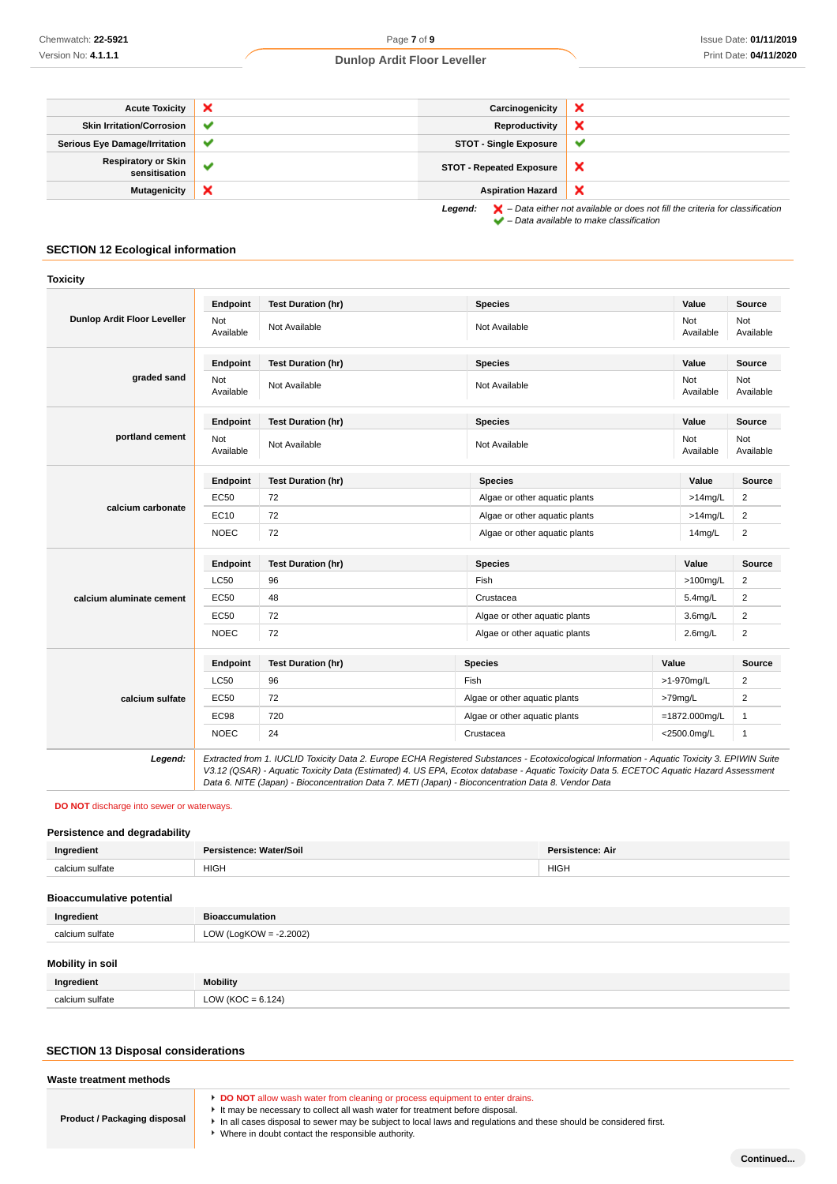| <b>Acute Toxicity</b>                       | $\boldsymbol{\mathsf{x}}$ | Carcinogenicity                 | ᄊ                                                                                                                                                                   |
|---------------------------------------------|---------------------------|---------------------------------|---------------------------------------------------------------------------------------------------------------------------------------------------------------------|
| <b>Skin Irritation/Corrosion</b>            | ✔                         | Reproductivity                  | ×                                                                                                                                                                   |
| <b>Serious Eye Damage/Irritation</b>        | $\checkmark$              | <b>STOT - Single Exposure</b>   | ັ                                                                                                                                                                   |
| <b>Respiratory or Skin</b><br>sensitisation | $\checkmark$              | <b>STOT - Repeated Exposure</b> | x                                                                                                                                                                   |
| <b>Mutagenicity</b>                         | ×                         | <b>Aspiration Hazard</b>        | x                                                                                                                                                                   |
|                                             |                           | Legend:                         | $\blacktriangleright$ - Data either not available or does not fill the criteria for classification<br>$\blacktriangleright$ - Data available to make classification |

# **SECTION 12 Ecological information**

|                                    | Endpoint         | <b>Test Duration (hr)</b> | <b>Species</b>                | Value            | Source           |
|------------------------------------|------------------|---------------------------|-------------------------------|------------------|------------------|
| <b>Dunlop Ardit Floor Leveller</b> | Not<br>Available | Not Available             | Not Available                 | Not<br>Available | Not<br>Available |
|                                    | Endpoint         | <b>Test Duration (hr)</b> | <b>Species</b>                | Value            | <b>Source</b>    |
| graded sand                        | Not<br>Available | Not Available             | Not Available                 | Not<br>Available | Not<br>Available |
|                                    | Endpoint         | <b>Test Duration (hr)</b> | <b>Species</b>                | Value            | <b>Source</b>    |
| portland cement                    | Not<br>Available | Not Available             | Not Available                 | Not<br>Available | Not<br>Available |
|                                    | Endpoint         | <b>Test Duration (hr)</b> | <b>Species</b>                | Value            | Source           |
|                                    | <b>EC50</b>      | 72                        | Algae or other aquatic plants | $>14$ mg/L       | $\overline{c}$   |
| calcium carbonate                  | EC10             | 72                        | Algae or other aquatic plants | $>14$ mg/L       | $\overline{2}$   |
|                                    | <b>NOEC</b>      | 72                        | Algae or other aquatic plants | 14mg/L           | $\overline{c}$   |
|                                    | Endpoint         | <b>Test Duration (hr)</b> | <b>Species</b>                | Value            | <b>Source</b>    |
|                                    | <b>LC50</b>      | 96                        | Fish                          | $>100$ mg/L      | 2                |
| calcium aluminate cement           | EC50             | 48                        | Crustacea                     | $5.4$ mg/L       | $\overline{2}$   |
|                                    | EC50             | 72                        | Algae or other aquatic plants | $3.6$ mg/L       | $\overline{2}$   |
|                                    | <b>NOEC</b>      | 72                        | Algae or other aquatic plants | $2.6$ mg/L       | $\overline{2}$   |
|                                    | Endpoint         | <b>Test Duration (hr)</b> | <b>Species</b>                | Value            | Source           |
| calcium sulfate                    | <b>LC50</b>      | 96                        | Fish                          | >1-970mg/L       | 2                |
|                                    | EC50             | 72                        | Algae or other aquatic plants | >79mg/L          | $\overline{2}$   |
|                                    | <b>EC98</b>      | 720                       | Algae or other aquatic plants | $=1872.000$ mg/L | $\mathbf{1}$     |
|                                    | <b>NOEC</b>      | 24                        | Crustacea                     | <2500.0mg/L      | $\mathbf{1}$     |

**DO NOT** discharge into sewer or waterways.

# **Persistence and degradability**

| Ingredient                       | Persistence: Water/Soil<br><b>Persistence: Air</b> |  |  |  |
|----------------------------------|----------------------------------------------------|--|--|--|
| calcium sulfate                  | <b>HIGH</b><br><b>HIGH</b>                         |  |  |  |
| <b>Bioaccumulative potential</b> |                                                    |  |  |  |
| Ingredient                       | <b>Bioaccumulation</b>                             |  |  |  |
| calcium sulfate                  | LOW (LogKOW = $-2.2002$ )                          |  |  |  |
| Mobility in soil                 |                                                    |  |  |  |
| Ingredient                       | <b>Mobility</b>                                    |  |  |  |
| calcium sulfate                  | LOW ( $KOC = 6.124$ )                              |  |  |  |

Data 6. NITE (Japan) - Bioconcentration Data 7. METI (Japan) - Bioconcentration Data 8. Vendor Data

# **SECTION 13 Disposal considerations**

| Waste treatment methods             |                                                                                                                                                                                                                                                                                                                                         |
|-------------------------------------|-----------------------------------------------------------------------------------------------------------------------------------------------------------------------------------------------------------------------------------------------------------------------------------------------------------------------------------------|
| <b>Product / Packaging disposal</b> | DO NOT allow wash water from cleaning or process equipment to enter drains.<br>It may be necessary to collect all wash water for treatment before disposal.<br>In all cases disposal to sewer may be subject to local laws and regulations and these should be considered first.<br>• Where in doubt contact the responsible authority. |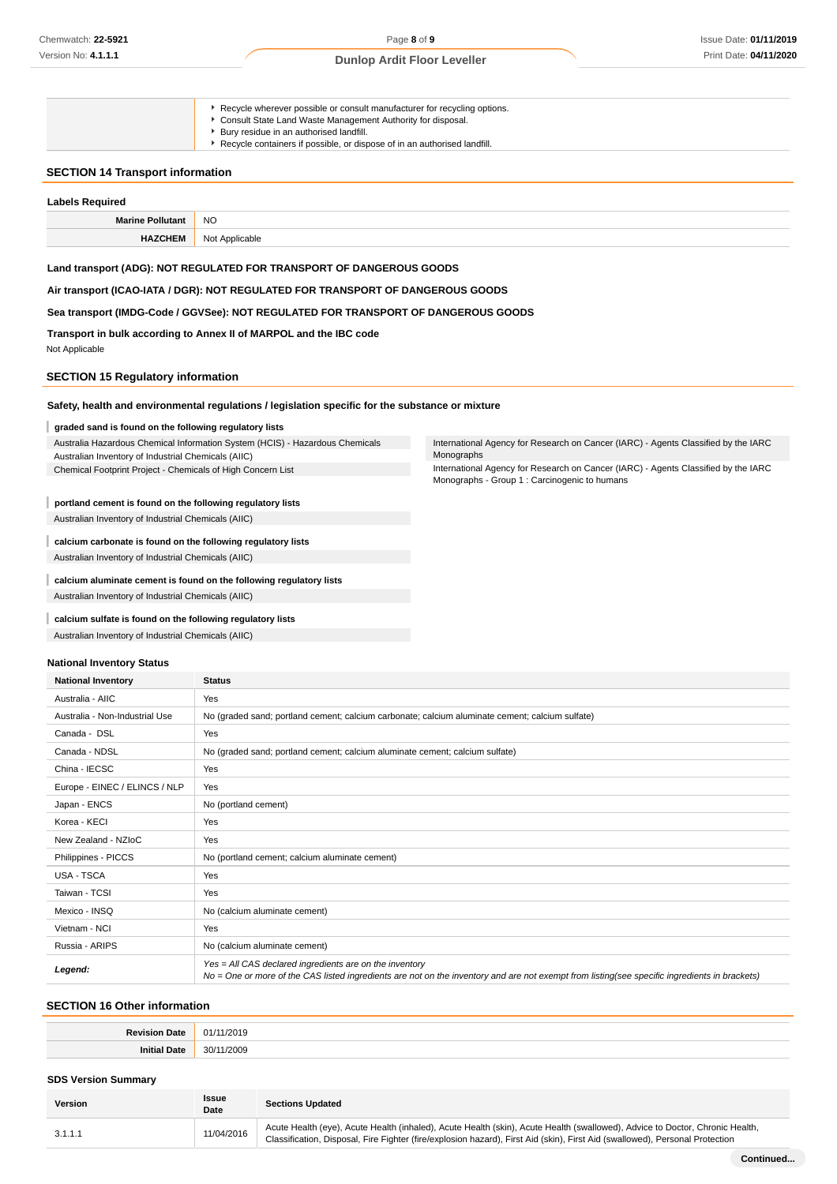|                                         | ▶ Recycle wherever possible or consult manufacturer for recycling options. |
|-----------------------------------------|----------------------------------------------------------------------------|
|                                         | Consult State Land Waste Management Authority for disposal.                |
|                                         | ▶ Bury residue in an authorised landfill.                                  |
|                                         | Recycle containers if possible, or dispose of in an authorised landfill.   |
|                                         |                                                                            |
| <b>SECTION 14 Transport information</b> |                                                                            |
|                                         |                                                                            |
| <b>Labels Required</b>                  |                                                                            |

| Marine Pollutant | NO.            |
|------------------|----------------|
| <b>HAZCHEM</b>   | Not Applicable |

#### **Land transport (ADG): NOT REGULATED FOR TRANSPORT OF DANGEROUS GOODS**

# **Air transport (ICAO-IATA / DGR): NOT REGULATED FOR TRANSPORT OF DANGEROUS GOODS**

#### **Sea transport (IMDG-Code / GGVSee): NOT REGULATED FOR TRANSPORT OF DANGEROUS GOODS**

**Transport in bulk according to Annex II of MARPOL and the IBC code**

Not Applicable

# **SECTION 15 Regulatory information**

#### **Safety, health and environmental regulations / legislation specific for the substance or mixture**

#### I **graded sand is found on the following regulatory lists**

Australia Hazardous Chemical Information System (HCIS) - Hazardous Chemicals Australian Inventory of Industrial Chemicals (AIIC) Chemical Footprint Project - Chemicals of High Concern List

#### **portland cement is found on the following regulatory lists**

Australian Inventory of Industrial Chemicals (AIIC)

ı **calcium carbonate is found on the following regulatory lists** Australian Inventory of Industrial Chemicals (AIIC)

#### I **calcium aluminate cement is found on the following regulatory lists**

Australian Inventory of Industrial Chemicals (AIIC)

#### **calcium sulfate is found on the following regulatory lists** ı

Australian Inventory of Industrial Chemicals (AIIC)

#### **National Inventory Status**

| <b>National Inventory</b>      | <b>Status</b>                                                                                                                                                                                            |
|--------------------------------|----------------------------------------------------------------------------------------------------------------------------------------------------------------------------------------------------------|
| Australia - AIIC               | Yes                                                                                                                                                                                                      |
| Australia - Non-Industrial Use | No (graded sand; portland cement; calcium carbonate; calcium aluminate cement; calcium sulfate)                                                                                                          |
| Canada - DSL                   | Yes                                                                                                                                                                                                      |
| Canada - NDSL                  | No (graded sand; portland cement; calcium aluminate cement; calcium sulfate)                                                                                                                             |
| China - IECSC                  | Yes                                                                                                                                                                                                      |
| Europe - EINEC / ELINCS / NLP  | Yes                                                                                                                                                                                                      |
| Japan - ENCS                   | No (portland cement)                                                                                                                                                                                     |
| Korea - KECI                   | Yes                                                                                                                                                                                                      |
| New Zealand - NZIoC            | Yes                                                                                                                                                                                                      |
| Philippines - PICCS            | No (portland cement; calcium aluminate cement)                                                                                                                                                           |
| <b>USA - TSCA</b>              | Yes                                                                                                                                                                                                      |
| Taiwan - TCSI                  | Yes                                                                                                                                                                                                      |
| Mexico - INSQ                  | No (calcium aluminate cement)                                                                                                                                                                            |
| Vietnam - NCI                  | Yes                                                                                                                                                                                                      |
| Russia - ARIPS                 | No (calcium aluminate cement)                                                                                                                                                                            |
| Legend:                        | Yes = All CAS declared ingredients are on the inventory<br>No = One or more of the CAS listed ingredients are not on the inventory and are not exempt from listing(see specific ingredients in brackets) |

#### **SECTION 16 Other information**

#### **SDS Version Summary**

| Version | <b>Issue</b><br>Date | <b>Sections Updated</b>                                                                                                                                                                                                                                      |
|---------|----------------------|--------------------------------------------------------------------------------------------------------------------------------------------------------------------------------------------------------------------------------------------------------------|
| 3.1.1.1 | 11/04/2016           | Acute Health (eye), Acute Health (inhaled), Acute Health (skin), Acute Health (swallowed), Advice to Doctor, Chronic Health,<br>Classification, Disposal, Fire Fighter (fire/explosion hazard), First Aid (skin), First Aid (swallowed), Personal Protection |

International Agency for Research on Cancer (IARC) - Agents Classified by the IARC Monographs

International Agency for Research on Cancer (IARC) - Agents Classified by the IARC Monographs - Group 1 : Carcinogenic to humans